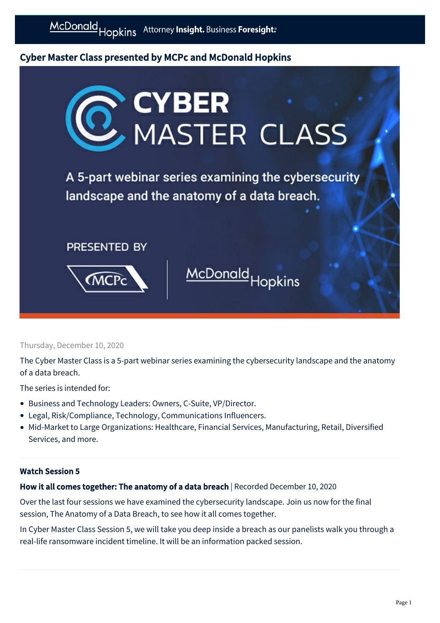# Cyber Master Class presented by MCPc and McDonald Hopkins



## Thursday, December 10, 2020

The Cyber Master Class is a 5-part webinar series examining the cybersecurity landscape and the anatomy of a data breach.

The series is intended for:

- Business and Technology Leaders: Owners, C-Suite, VP/Director.
- Legal, Risk/Compliance, Technology, Communications Influencers.
- Mid-Market to Large Organizations: Healthcare, Financial Services, Manufacturing, Retail, Diversified Services, and more.

# Watch Session 5

# How it all comes together: The anatomy of a data breach | Recorded December 10, 2020

Over the last four sessions we have examined the cybersecurity landscape. Join us now for the final session, The Anatomy of a Data Breach, to see how it all comes together.

In Cyber Master Class Session 5, we will take you deep inside a breach as our panelists walk you through a real-life ransomware incident timeline. It will be an information packed session.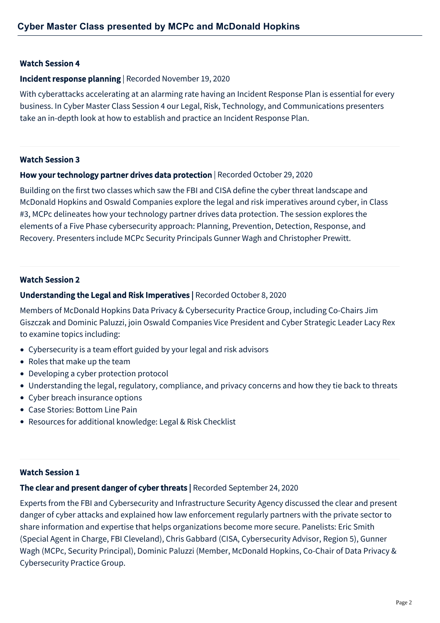## Watch Session 4

#### Incident response planning | Recorded November 19, 2020

With cyberattacks accelerating at an alarming rate having an Incident Response Plan is essential for every business. In Cyber Master Class Session 4 our Legal, Risk, Technology, and Communications presenters take an in-depth look at how to establish and practice an Incident Response Plan.

#### Watch Session 3

## How your technology partner drives data protection | Recorded October 29, 2020

Building on the first two classes which saw the FBI and CISA define the cyber threat landscape and McDonald Hopkins and Oswald Companies explore the legal and risk imperatives around cyber, in Class #3, MCPc delineates how your technology partner drives data protection. The session explores the elements of a Five Phase cybersecurity approach: Planning, Prevention, Detection, Response, and Recovery. Presenters include MCPc Security Principals Gunner Wagh and Christopher Prewitt.

## Watch Session 2

## Understanding the Legal and Risk Imperatives | Recorded October 8, 2020

Members of McDonald Hopkins Data Privacy & Cybersecurity Practice Group, including Co-Chairs Jim Giszczak and Dominic Paluzzi, join Oswald Companies Vice President and Cyber Strategic Leader Lacy Rex to examine topics including:

- Cybersecurity is a team effort guided by your legal and risk advisors
- Roles that make up the team
- Developing a cyber protection protocol
- Understanding the legal, regulatory, compliance, and privacy concerns and how they tie back to threats
- Cyber breach insurance options
- Case Stories: Bottom Line Pain
- Resources for additional knowledge: Legal & Risk Checklist

## Watch Session 1

## The clear and present danger of cyber threats | Recorded September 24, 2020

Experts from the FBI and Cybersecurity and Infrastructure Security Agency discussed the clear and present danger of cyber attacks and explained how law enforcement regularly partners with the private sector to share information and expertise that helps organizations become more secure. Panelists: Eric Smith (Special Agent in Charge, FBI Cleveland), Chris Gabbard (CISA, Cybersecurity Advisor, Region 5), Gunner Wagh (MCPc, Security Principal), Dominic Paluzzi (Member, McDonald Hopkins, Co-Chair of Data Privacy & Cybersecurity Practice Group.